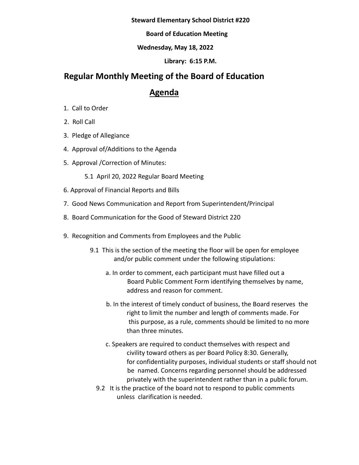#### **Steward Elementary School District #220**

### **Board of Education Meeting**

### **Wednesday, May 18, 2022**

### **Library: 6:15 P.M.**

# **Regular Monthly Meeting of the Board of Education**

# **Agenda**

- 1. Call to Order
- 2. Roll Call
- 3. Pledge of Allegiance
- 4. Approval of/Additions to the Agenda
- 5. Approval /Correction of Minutes:
	- 5.1 April 20, 2022 Regular Board Meeting
- 6. Approval of Financial Reports and Bills
- 7. Good News Communication and Report from Superintendent/Principal
- 8. Board Communication for the Good of Steward District 220
- 9. Recognition and Comments from Employees and the Public
	- 9.1 This is the section of the meeting the floor will be open for employee and/or public comment under the following stipulations:
		- a. In order to comment, each participant must have filled out a Board Public Comment Form identifying themselves by name, address and reason for comment.
		- b. In the interest of timely conduct of business, the Board reserves the right to limit the number and length of comments made. For this purpose, as a rule, comments should be limited to no more than three minutes.
		- c. Speakers are required to conduct themselves with respect and civility toward others as per Board Policy 8:30. Generally, for confidentiality purposes, individual students or staff should not be named. Concerns regarding personnel should be addressed privately with the superintendent rather than in a public forum.
		- 9.2 It is the practice of the board not to respond to public comments unless clarification is needed.